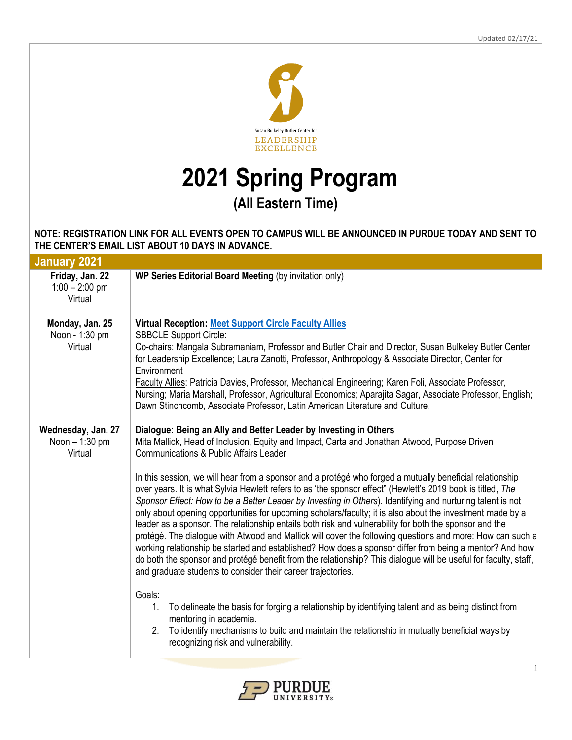

## **2021 Spring Program (All Eastern Time)**

## **NOTE: REGISTRATION LINK FOR ALL EVENTS OPEN TO CAMPUS WILL BE ANNOUNCED IN PURDUE TODAY AND SENT TO THE CENTER'S EMAIL LIST ABOUT 10 DAYS IN ADVANCE.**

| <b>January 2021</b>                             |                                                                                                                                                                                                                                                                                                                                                                                                                                                                                                                                                                                                                                                                                                                                                                                                                                                                                                                                                                                                                                                                                                                                                                                                                                                                                                                                                                                                                                                                                                |
|-------------------------------------------------|------------------------------------------------------------------------------------------------------------------------------------------------------------------------------------------------------------------------------------------------------------------------------------------------------------------------------------------------------------------------------------------------------------------------------------------------------------------------------------------------------------------------------------------------------------------------------------------------------------------------------------------------------------------------------------------------------------------------------------------------------------------------------------------------------------------------------------------------------------------------------------------------------------------------------------------------------------------------------------------------------------------------------------------------------------------------------------------------------------------------------------------------------------------------------------------------------------------------------------------------------------------------------------------------------------------------------------------------------------------------------------------------------------------------------------------------------------------------------------------------|
| Friday, Jan. 22<br>$1:00 - 2:00$ pm<br>Virtual  | WP Series Editorial Board Meeting (by invitation only)                                                                                                                                                                                                                                                                                                                                                                                                                                                                                                                                                                                                                                                                                                                                                                                                                                                                                                                                                                                                                                                                                                                                                                                                                                                                                                                                                                                                                                         |
| Monday, Jan. 25<br>Noon - 1:30 pm<br>Virtual    | <b>Virtual Reception: Meet Support Circle Faculty Allies</b><br><b>SBBCLE Support Circle:</b><br>Co-chairs: Mangala Subramaniam, Professor and Butler Chair and Director, Susan Bulkeley Butler Center<br>for Leadership Excellence; Laura Zanotti, Professor, Anthropology & Associate Director, Center for<br>Environment<br>Faculty Allies: Patricia Davies, Professor, Mechanical Engineering; Karen Foli, Associate Professor,<br>Nursing; Maria Marshall, Professor, Agricultural Economics; Aparajita Sagar, Associate Professor, English;<br>Dawn Stinchcomb, Associate Professor, Latin American Literature and Culture.                                                                                                                                                                                                                                                                                                                                                                                                                                                                                                                                                                                                                                                                                                                                                                                                                                                              |
| Wednesday, Jan. 27<br>Noon - 1:30 pm<br>Virtual | Dialogue: Being an Ally and Better Leader by Investing in Others<br>Mita Mallick, Head of Inclusion, Equity and Impact, Carta and Jonathan Atwood, Purpose Driven<br><b>Communications &amp; Public Affairs Leader</b><br>In this session, we will hear from a sponsor and a protégé who forged a mutually beneficial relationship<br>over years. It is what Sylvia Hewlett refers to as 'the sponsor effect" (Hewlett's 2019 book is titled, The<br>Sponsor Effect: How to be a Better Leader by Investing in Others). Identifying and nurturing talent is not<br>only about opening opportunities for upcoming scholars/faculty; it is also about the investment made by a<br>leader as a sponsor. The relationship entails both risk and vulnerability for both the sponsor and the<br>protégé. The dialogue with Atwood and Mallick will cover the following questions and more: How can such a<br>working relationship be started and established? How does a sponsor differ from being a mentor? And how<br>do both the sponsor and protégé benefit from the relationship? This dialogue will be useful for faculty, staff,<br>and graduate students to consider their career trajectories.<br>Goals:<br>1.<br>To delineate the basis for forging a relationship by identifying talent and as being distinct from<br>mentoring in academia.<br>2.<br>To identify mechanisms to build and maintain the relationship in mutually beneficial ways by<br>recognizing risk and vulnerability. |

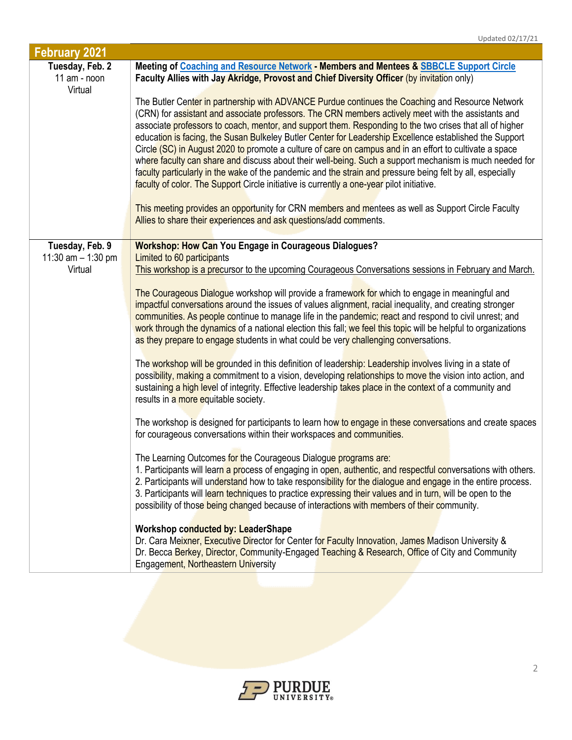| <b>February 2021</b>                       |                                                                                                                                                                                                                                                                                                                                                                                                                                                                                                                                                                                                                                                                                                                                                                                                                                                                 |
|--------------------------------------------|-----------------------------------------------------------------------------------------------------------------------------------------------------------------------------------------------------------------------------------------------------------------------------------------------------------------------------------------------------------------------------------------------------------------------------------------------------------------------------------------------------------------------------------------------------------------------------------------------------------------------------------------------------------------------------------------------------------------------------------------------------------------------------------------------------------------------------------------------------------------|
| Tuesday, Feb. 2<br>11 am - noon<br>Virtual | Meeting of Coaching and Resource Network - Members and Mentees & SBBCLE Support Circle<br>Faculty Allies with Jay Akridge, Provost and Chief Diversity Officer (by invitation only)                                                                                                                                                                                                                                                                                                                                                                                                                                                                                                                                                                                                                                                                             |
|                                            | The Butler Center in partnership with ADVANCE Purdue continues the Coaching and Resource Network<br>(CRN) for assistant and associate professors. The CRN members actively meet with the assistants and<br>associate professors to coach, mentor, and support them. Responding to the two crises that all of higher<br>education is facing, the Susan Bulkeley Butler Center for Leadership Excellence established the Support<br>Circle (SC) in August 2020 to promote a culture of care on campus and in an effort to cultivate a space<br>where faculty can share and discuss about their well-being. Such a support mechanism is much needed for<br>faculty particularly in the wake of the pandemic and the strain and pressure being felt by all, especially<br>faculty of color. The Support Circle initiative is currently a one-year pilot initiative. |
|                                            | This meeting provides an opportunity for CRN members and mentees as well as Support Circle Faculty<br>Allies to share their experiences and ask questions/add comments.                                                                                                                                                                                                                                                                                                                                                                                                                                                                                                                                                                                                                                                                                         |
| Tuesday, Feb. 9                            | <b>Workshop: How Can You Engage in Courageous Dialogues?</b>                                                                                                                                                                                                                                                                                                                                                                                                                                                                                                                                                                                                                                                                                                                                                                                                    |
| 11:30 am $-$ 1:30 pm                       | Limited to 60 participants                                                                                                                                                                                                                                                                                                                                                                                                                                                                                                                                                                                                                                                                                                                                                                                                                                      |
| Virtual                                    | This workshop is a precursor to the upcoming Courageous Conversations sessions in February and March.                                                                                                                                                                                                                                                                                                                                                                                                                                                                                                                                                                                                                                                                                                                                                           |
|                                            | The Courageous Dialogue workshop will provide a framework for which to engage in meaningful and                                                                                                                                                                                                                                                                                                                                                                                                                                                                                                                                                                                                                                                                                                                                                                 |
|                                            | impactful conversations around the issues of values alignment, racial inequality, and creating stronger                                                                                                                                                                                                                                                                                                                                                                                                                                                                                                                                                                                                                                                                                                                                                         |
|                                            | communities. As people continue to manage life in the pandemic; react and respond to civil unrest; and                                                                                                                                                                                                                                                                                                                                                                                                                                                                                                                                                                                                                                                                                                                                                          |
|                                            | work through the dynamics of a national election this fall; we feel this topic will be helpful to organizations                                                                                                                                                                                                                                                                                                                                                                                                                                                                                                                                                                                                                                                                                                                                                 |
|                                            | as they prepare to engage students in what could be very challenging conversations.                                                                                                                                                                                                                                                                                                                                                                                                                                                                                                                                                                                                                                                                                                                                                                             |
|                                            | The workshop will be grounded in this definition of leadership: Leadership involves living in a state of<br>possibility, making a commitment to a vision, developing relationships to move the vision into action, and<br>sustaining a high level of integrity. Effective leadership takes place in the context of a community and<br>results in a more equitable society.                                                                                                                                                                                                                                                                                                                                                                                                                                                                                      |
|                                            | The workshop is designed for participants to learn how to engage in these conversations and create spaces<br>for courageous conversations within their workspaces and communities.                                                                                                                                                                                                                                                                                                                                                                                                                                                                                                                                                                                                                                                                              |
|                                            | The Learning Outcomes for the Courageous Dialogue programs are:<br>1. Participants will learn a process of engaging in open, authentic, and respectful conversations with others.<br>2. Participants will understand how to take responsibility for the dialogue and engage in the entire process.<br>3. Participants will learn techniques to practice expressing their values and in turn, will be open to the<br>possibility of those being changed because of interactions with members of their community.                                                                                                                                                                                                                                                                                                                                                 |
|                                            | <b>Workshop conducted by: LeaderShape</b><br>Dr. Cara Meixner, Executive Director for Center for Faculty Innovation, James Madison University &<br>Dr. Becca Berkey, Director, Community-Engaged Teaching & Research, Office of City and Community<br>Engagement, Northeastern University                                                                                                                                                                                                                                                                                                                                                                                                                                                                                                                                                                       |



Updated 02/17/21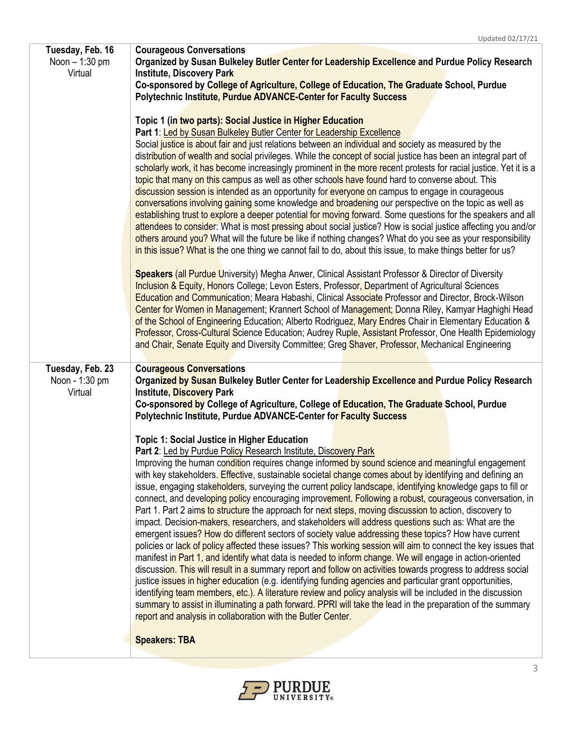| Tuesday, Feb. 16<br>Noon - 1:30 pm<br>Virtual | <b>Courageous Conversations</b><br>Organized by Susan Bulkeley Butler Center for Leadership Excellence and Purdue Policy Research<br>Institute, Discovery Park<br>Co-sponsored by College of Agriculture, College of Education, The Graduate School, Purdue<br><b>Polytechnic Institute, Purdue ADVANCE-Center for Faculty Success</b><br>Topic 1 (in two parts): Social Justice in Higher Education<br>Part 1: Led by Susan Bulkeley Butler Center for Leadership Excellence<br>Social justice is about fair and just relations between an individual and society as measured by the<br>distribution of wealth and social privileges. While the concept of social justice has been an integral part of<br>scholarly work, it has become increasingly prominent in the more recent protests for racial justice. Yet it is a<br>topic that many on this campus as well as other schools have found hard to converse about. This<br>discussion session is intended as an opportunity for everyone on campus to engage in courageous<br>conversations involving gaining some knowledge and broadening our perspective on the topic as well as<br>establishing trust to explore a deeper potential for moving forward. Some questions for the speakers and all<br>attendees to consider: What is most pressing about social justice? How is social justice affecting you and/or<br>others around you? What will the future be like if nothing changes? What do you see as your responsibility<br>in this issue? What is the one thing we cannot fail to do, about this issue, to make things better for us?<br>Speakers (all Purdue University) Megha Anwer, Clinical Assistant Professor & Director of Diversity<br>Inclusion & Equity, Honors College; Levon Esters, Professor, Department of Agricultural Sciences<br>Education and Communication; Meara Habashi, Clinical Associate Professor and Director, Brock-Wilson<br>Center for Women in Management; Krannert School of Management; Donna Riley, Kamyar Haghighi Head<br>of the School of Engineering Education; Alberto Rodriguez, Mary Endres Chair in Elementary Education &<br>Professor, Cross-Cultural Science Education; Audrey Ruple, Assistant Professor, One Health Epidemiology<br>and Chair, Senate Equity and Diversity Committee; Greg Shaver, Professor, Mechanical Engineering |
|-----------------------------------------------|-------------------------------------------------------------------------------------------------------------------------------------------------------------------------------------------------------------------------------------------------------------------------------------------------------------------------------------------------------------------------------------------------------------------------------------------------------------------------------------------------------------------------------------------------------------------------------------------------------------------------------------------------------------------------------------------------------------------------------------------------------------------------------------------------------------------------------------------------------------------------------------------------------------------------------------------------------------------------------------------------------------------------------------------------------------------------------------------------------------------------------------------------------------------------------------------------------------------------------------------------------------------------------------------------------------------------------------------------------------------------------------------------------------------------------------------------------------------------------------------------------------------------------------------------------------------------------------------------------------------------------------------------------------------------------------------------------------------------------------------------------------------------------------------------------------------------------------------------------------------------------------------------------------------------------------------------------------------------------------------------------------------------------------------------------------------------------------------------------------------------------------------------------------------------------------------------------------------------------------------------------------------------------------------------------------------------------------------------------|
| Tuesday, Feb. 23<br>Noon - 1:30 pm<br>Virtual | <b>Courageous Conversations</b><br>Organized by Susan Bulkeley Butler Center for Leadership Excellence and Purdue Policy Research<br><b>Institute, Discovery Park</b><br>Co-sponsored by College of Agriculture, College of Education, The Graduate School, Purdue<br>Polytechnic Institute, Purdue ADVANCE-Center for Faculty Success<br><b>Topic 1: Social Justice in Higher Education</b><br>Part 2: Led by Purdue Policy Research Institute, Discovery Park<br>Improving the human condition requires change informed by sound science and meaningful engagement<br>with key stakeholders. Effective, sustainable societal change comes about by identifying and defining an<br>issue, engaging stakeholders, surveying the current policy landscape, identifying knowledge gaps to fill or<br>connect, and developing policy encouraging improvement. Following a robust, courageous conversation, in<br>Part 1. Part 2 aims to structure the approach for next steps, moving discussion to action, discovery to<br>impact. Decision-makers, researchers, and stakeholders will address questions such as: What are the<br>emergent issues? How do different sectors of society value addressing these topics? How have current<br>policies or lack of policy affected these issues? This working session will aim to connect the key issues that<br>manifest in Part 1, and identify what data is needed to inform change. We will engage in action-oriented<br>discussion. This will result in a summary report and follow on activities towards progress to address social<br>justice issues in higher education (e.g. identifying funding agencies and particular grant opportunities,<br>identifying team members, etc.). A literature review and policy analysis will be included in the discussion<br>summary to assist in illuminating a path forward. PPRI will take the lead in the preparation of the summary<br>report and analysis in collaboration with the Butler Center.<br><b>Speakers: TBA</b>                                                                                                                                                                                                                                                                                                                                 |

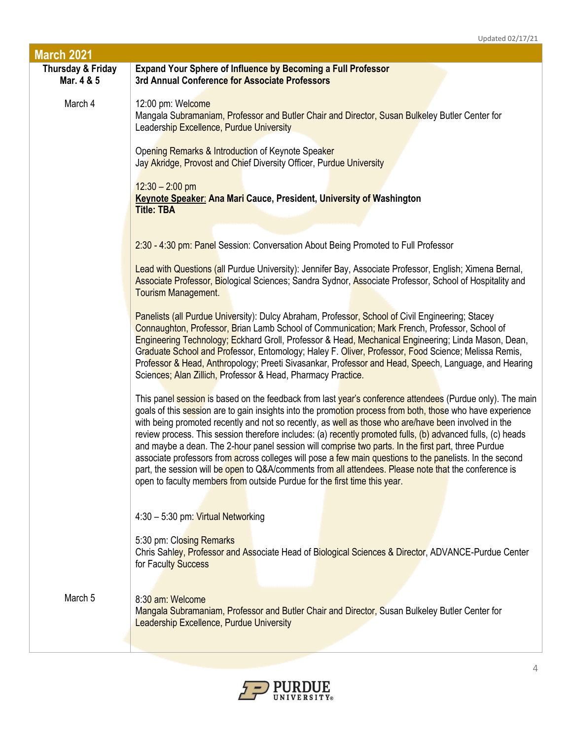| <b>March 2021</b>               |                                                                                                                                                                                                                                                                                                                                                                                                                                                                                                                                                                                                                                                                                                                                                                                                                                                         |
|---------------------------------|---------------------------------------------------------------------------------------------------------------------------------------------------------------------------------------------------------------------------------------------------------------------------------------------------------------------------------------------------------------------------------------------------------------------------------------------------------------------------------------------------------------------------------------------------------------------------------------------------------------------------------------------------------------------------------------------------------------------------------------------------------------------------------------------------------------------------------------------------------|
| Thursday & Friday<br>Mar. 4 & 5 | <b>Expand Your Sphere of Influence by Becoming a Full Professor</b><br>3rd Annual Conference for Associate Professors                                                                                                                                                                                                                                                                                                                                                                                                                                                                                                                                                                                                                                                                                                                                   |
| March 4                         | 12:00 pm: Welcome<br>Mangala Subramaniam, Professor and Butler Chair and Director, Susan Bulkeley Butler Center for<br>Leadership Excellence, Purdue University                                                                                                                                                                                                                                                                                                                                                                                                                                                                                                                                                                                                                                                                                         |
|                                 | Opening Remarks & Introduction of Keynote Speaker<br>Jay Akridge, Provost and Chief Diversity Officer, Purdue University                                                                                                                                                                                                                                                                                                                                                                                                                                                                                                                                                                                                                                                                                                                                |
|                                 | $12:30 - 2:00$ pm<br><b>Keynote Speaker: Ana Mari Cauce, President, University of Washington</b><br><b>Title: TBA</b>                                                                                                                                                                                                                                                                                                                                                                                                                                                                                                                                                                                                                                                                                                                                   |
|                                 | 2:30 - 4:30 pm: Panel Session: Conversation About Being Promoted to Full Professor                                                                                                                                                                                                                                                                                                                                                                                                                                                                                                                                                                                                                                                                                                                                                                      |
|                                 | Lead with Questions (all Purdue University): Jennifer Bay, Associate Professor, English; Ximena Bernal,<br>Associate Professor, Biological Sciences; Sandra Sydnor, Associate Professor, School of Hospitality and<br>Tourism Management.                                                                                                                                                                                                                                                                                                                                                                                                                                                                                                                                                                                                               |
|                                 | Panelists (all Purdue University): Dulcy Abraham, Professor, School of Civil Engineering; Stacey<br>Connaughton, Professor, Brian Lamb School of Communication; Mark French, Professor, School of<br>Engineering Technology; Eckhard Groll, Professor & Head, Mechanical Engineering; Linda Mason, Dean,<br>Graduate School and Professor, Entomology; Haley F. Oliver, Professor, Food Science; Melissa Remis,<br>Professor & Head, Anthropology; Preeti Sivasankar, Professor and Head, Speech, Language, and Hearing<br>Sciences; Alan Zillich, Professor & Head, Pharmacy Practice.                                                                                                                                                                                                                                                                 |
|                                 | This panel session is based on the feedback from last year's conference attendees (Purdue only). The main<br>goals of this session are to gain insights into the promotion process from both, those who have experience<br>with being promoted recently and not so recently, as well as those who are/have been involved in the<br>review process. This session therefore includes: (a) recently promoted fulls, (b) advanced fulls, (c) heads<br>and maybe a dean. The 2-hour panel session will comprise two parts. In the first part, three Purdue<br>associate professors from across colleges will pose a few main questions to the panelists. In the second<br>part, the session will be open to Q&A/comments from all attendees. Please note that the conference is<br>open to faculty members from outside Purdue for the first time this year. |
|                                 | 4:30 - 5:30 pm: Virtual Networking                                                                                                                                                                                                                                                                                                                                                                                                                                                                                                                                                                                                                                                                                                                                                                                                                      |
|                                 | 5:30 pm: Closing Remarks<br>Chris Sahley, Professor and Associate Head of Biological Sciences & Director, ADVANCE-Purdue Center<br>for Faculty Success                                                                                                                                                                                                                                                                                                                                                                                                                                                                                                                                                                                                                                                                                                  |
| March 5                         | 8:30 am: Welcome<br>Mangala Subramaniam, Professor and Butler Chair and Director, Susan Bulkeley Butler Center for<br>Leadership Excellence, Purdue University                                                                                                                                                                                                                                                                                                                                                                                                                                                                                                                                                                                                                                                                                          |

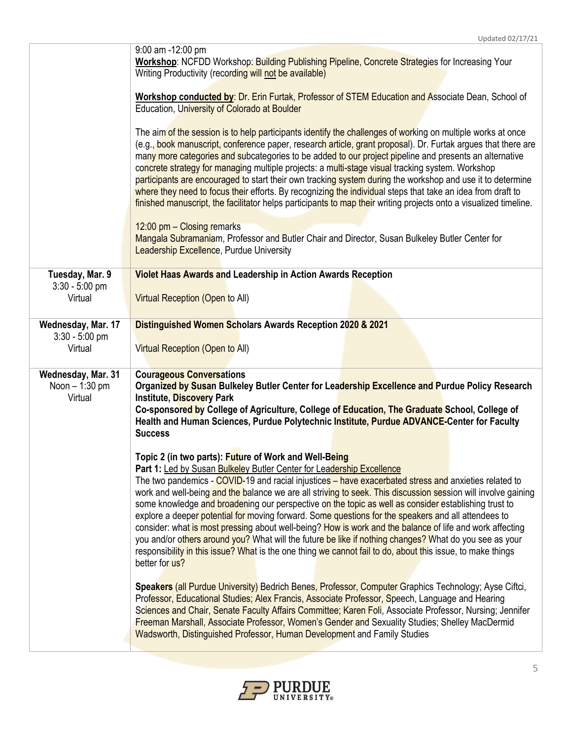|                                                   | 9:00 am -12:00 pm<br>Workshop: NCFDD Workshop: Building Publishing Pipeline, Concrete Strategies for Increasing Your<br>Writing Productivity (recording will not be available)                                                                                                                                                                                                                                                                                                                                                                                                                                                                                                                                                                                                                                                                                                                                                |
|---------------------------------------------------|-------------------------------------------------------------------------------------------------------------------------------------------------------------------------------------------------------------------------------------------------------------------------------------------------------------------------------------------------------------------------------------------------------------------------------------------------------------------------------------------------------------------------------------------------------------------------------------------------------------------------------------------------------------------------------------------------------------------------------------------------------------------------------------------------------------------------------------------------------------------------------------------------------------------------------|
|                                                   | Workshop conducted by: Dr. Erin Furtak, Professor of STEM Education and Associate Dean, School of<br>Education, University of Colorado at Boulder                                                                                                                                                                                                                                                                                                                                                                                                                                                                                                                                                                                                                                                                                                                                                                             |
|                                                   | The aim of the session is to help participants identify the challenges of working on multiple works at once<br>(e.g., book manuscript, conference paper, research article, grant proposal). Dr. Furtak argues that there are<br>many more categories and subcategories to be added to our project pipeline and presents an alternative<br>concrete strategy for managing multiple projects: a multi-stage visual tracking system. Workshop<br>participants are encouraged to start their own tracking system during the workshop and use it to determine<br>where they need to focus their efforts. By recognizing the individual steps that take an idea from draft to<br>finished manuscript, the facilitator helps participants to map their writing projects onto a visualized timeline.                                                                                                                                  |
|                                                   | 12:00 pm - Closing remarks<br>Mangala Subramaniam, Professor and Butler Chair and Director, Susan Bulkeley Butler Center for<br><b>Leadership Excellence, Purdue University</b>                                                                                                                                                                                                                                                                                                                                                                                                                                                                                                                                                                                                                                                                                                                                               |
| Tuesday, Mar. 9<br>$3:30 - 5:00$ pm<br>Virtual    | <b>Violet Haas Awards and Leadership in Action Awards Reception</b><br><b>Virtual Reception (Open to All)</b>                                                                                                                                                                                                                                                                                                                                                                                                                                                                                                                                                                                                                                                                                                                                                                                                                 |
| Wednesday, Mar. 17<br>$3:30 - 5:00$ pm<br>Virtual | Distinguished Women Scholars Awards Reception 2020 & 2021<br>Virtual Reception (Open to All)                                                                                                                                                                                                                                                                                                                                                                                                                                                                                                                                                                                                                                                                                                                                                                                                                                  |
| Wednesday, Mar. 31<br>Noon - 1:30 pm<br>Virtual   | <b>Courageous Conversations</b><br>Organized by Susan Bulkeley Butler Center for Leadership Excellence and Purdue Policy Research<br><b>Institute, Discovery Park</b><br>Co-sponsored by College of Agriculture, College of Education, The Graduate School, College of<br>Health and Human Sciences, Purdue Polytechnic Institute, Purdue ADVANCE-Center for Faculty<br><b>Success</b>                                                                                                                                                                                                                                                                                                                                                                                                                                                                                                                                        |
|                                                   | Topic 2 (in two parts): Future of Work and Well-Being<br>Part 1: Led by Susan Bulkeley Butler Center for Leadership Excellence<br>The two pandemics - COVID-19 and racial injustices - have exacerbated stress and anxieties related to<br>work and well-being and the balance we are all striving to seek. This discussion session will involve gaining<br>some knowledge and broadening our perspective on the topic as well as consider establishing trust to<br>explore a deeper potential for moving forward. Some questions for the speakers and all attendees to<br>consider: what is most pressing about well-being? How is work and the balance of life and work affecting<br>you and/or others around you? What will the future be like if nothing changes? What do you see as your<br>responsibility in this issue? What is the one thing we cannot fail to do, about this issue, to make things<br>better for us? |
|                                                   | Speakers (all Purdue University) Bedrich Benes, Professor, Computer Graphics Technology; Ayse Ciftci,<br>Professor, Educational Studies; Alex Francis, Associate Professor, Speech, Language and Hearing<br>Sciences and Chair, Senate Faculty Affairs Committee; Karen Foli, Associate Professor, Nursing; Jennifer<br>Freeman Marshall, Associate Professor, Women's Gender and Sexuality Studies; Shelley MacDermid<br>Wadsworth, Distinguished Professor, Human Development and Family Studies                                                                                                                                                                                                                                                                                                                                                                                                                            |

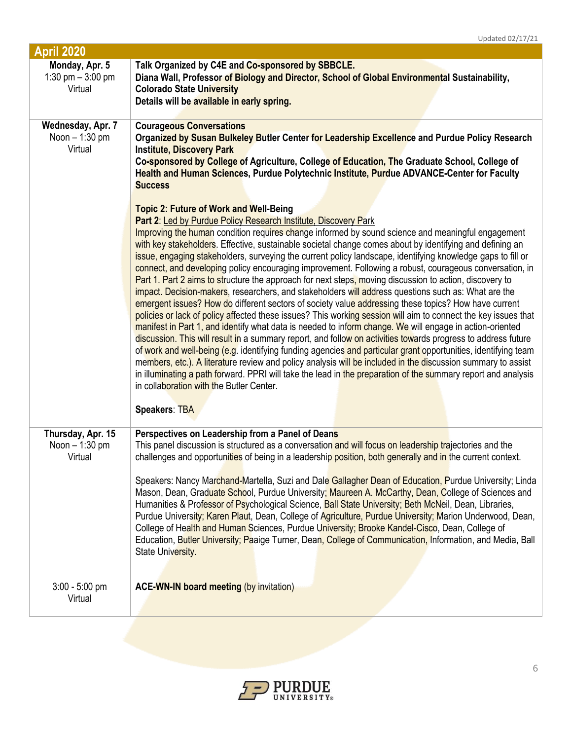| Monday, Apr. 5<br>Talk Organized by C4E and Co-sponsored by SBBCLE.<br>1:30 pm $-$ 3:00 pm<br>Diana Wall, Professor of Biology and Director, School of Global Environmental Sustainability,<br><b>Colorado State University</b><br>Virtual<br>Details will be available in early spring.<br>Wednesday, Apr. 7<br><b>Courageous Conversations</b><br>Noon - 1:30 pm<br>Organized by Susan Bulkeley Butler Center for Leadership Excellence and Purdue Policy Research<br>Virtual<br><b>Institute, Discovery Park</b><br>Co-sponsored by College of Agriculture, College of Education, The Graduate School, College of<br>Health and Human Sciences, Purdue Polytechnic Institute, Purdue ADVANCE-Center for Faculty<br><b>Success</b><br><b>Topic 2: Future of Work and Well-Being</b><br>Part 2: Led by Purdue Policy Research Institute, Discovery Park<br>Improving the human condition requires change informed by sound science and meaningful engagement<br>with key stakeholders. Effective, sustainable societal change comes about by identifying and defining an<br>issue, engaging stakeholders, surveying the current policy landscape, identifying knowledge gaps to fill or<br>connect, and developing policy encouraging improvement. Following a robust, courageous conversation, in<br>Part 1. Part 2 aims to structure the approach for next steps, moving discussion to action, discovery to<br>impact. Decision-makers, researchers, and stakeholders will address questions such as: What are the<br>emergent issues? How do different sectors of society value addressing these topics? How have current<br>policies or lack of policy affected these issues? This working session will aim to connect the key issues that<br>manifest in Part 1, and identify what data is needed to inform change. We will engage in action-oriented<br>discussion. This will result in a summary report, and follow on activities towards progress to address future<br>of work and well-being (e.g. identifying funding agencies and particular grant opportunities, identifying team<br>members, etc.). A literature review and policy analysis will be included in the discussion summary to assist<br>in illuminating a path forward. PPRI will take the lead in the preparation of the summary report and analysis<br>in collaboration with the Butler Center.<br><b>Speakers: TBA</b><br>Thursday, Apr. 15<br>Perspectives on Leadership from a Panel of Deans<br>This panel discussion is structured as a conversation and will focus on leadership trajectories and the<br>Noon $-1:30$ pm<br>challenges and opportunities of being in a leadership position, both generally and in the current context.<br>Virtual<br>Speakers: Nancy Marchand-Martella, Suzi and Dale Gallagher Dean of Education, Purdue University; Linda<br>Mason, Dean, Graduate School, Purdue University; Maureen A. McCarthy, Dean, College of Sciences and<br>Humanities & Professor of Psychological Science, Ball State University; Beth McNeil, Dean, Libraries,<br>Purdue University; Karen Plaut, Dean, College of Agriculture, Purdue University; Marion Underwood, Dean,<br>College of Health and Human Sciences, Purdue University; Brooke Kandel-Cisco, Dean, College of<br>Education, Butler University; Paaige Turner, Dean, College of Communication, Information, and Media, Ball<br>State University. | <b>April 2020</b> |  |
|---------------------------------------------------------------------------------------------------------------------------------------------------------------------------------------------------------------------------------------------------------------------------------------------------------------------------------------------------------------------------------------------------------------------------------------------------------------------------------------------------------------------------------------------------------------------------------------------------------------------------------------------------------------------------------------------------------------------------------------------------------------------------------------------------------------------------------------------------------------------------------------------------------------------------------------------------------------------------------------------------------------------------------------------------------------------------------------------------------------------------------------------------------------------------------------------------------------------------------------------------------------------------------------------------------------------------------------------------------------------------------------------------------------------------------------------------------------------------------------------------------------------------------------------------------------------------------------------------------------------------------------------------------------------------------------------------------------------------------------------------------------------------------------------------------------------------------------------------------------------------------------------------------------------------------------------------------------------------------------------------------------------------------------------------------------------------------------------------------------------------------------------------------------------------------------------------------------------------------------------------------------------------------------------------------------------------------------------------------------------------------------------------------------------------------------------------------------------------------------------------------------------------------------------------------------------------------------------------------------------------------------------------------------------------------------------------------------------------------------------------------------------------------------------------------------------------------------------------------------------------------------------------------------------------------------------------------------------------------------------------------------------------------------------------------------------------------------------------------------------------------------------------------------------------------------------------------------------------------------------------------------------------------------------------------------------------------------------------------------------------------------------------------------|-------------------|--|
|                                                                                                                                                                                                                                                                                                                                                                                                                                                                                                                                                                                                                                                                                                                                                                                                                                                                                                                                                                                                                                                                                                                                                                                                                                                                                                                                                                                                                                                                                                                                                                                                                                                                                                                                                                                                                                                                                                                                                                                                                                                                                                                                                                                                                                                                                                                                                                                                                                                                                                                                                                                                                                                                                                                                                                                                                                                                                                                                                                                                                                                                                                                                                                                                                                                                                                                                                                                                               |                   |  |
|                                                                                                                                                                                                                                                                                                                                                                                                                                                                                                                                                                                                                                                                                                                                                                                                                                                                                                                                                                                                                                                                                                                                                                                                                                                                                                                                                                                                                                                                                                                                                                                                                                                                                                                                                                                                                                                                                                                                                                                                                                                                                                                                                                                                                                                                                                                                                                                                                                                                                                                                                                                                                                                                                                                                                                                                                                                                                                                                                                                                                                                                                                                                                                                                                                                                                                                                                                                                               |                   |  |
|                                                                                                                                                                                                                                                                                                                                                                                                                                                                                                                                                                                                                                                                                                                                                                                                                                                                                                                                                                                                                                                                                                                                                                                                                                                                                                                                                                                                                                                                                                                                                                                                                                                                                                                                                                                                                                                                                                                                                                                                                                                                                                                                                                                                                                                                                                                                                                                                                                                                                                                                                                                                                                                                                                                                                                                                                                                                                                                                                                                                                                                                                                                                                                                                                                                                                                                                                                                                               |                   |  |
|                                                                                                                                                                                                                                                                                                                                                                                                                                                                                                                                                                                                                                                                                                                                                                                                                                                                                                                                                                                                                                                                                                                                                                                                                                                                                                                                                                                                                                                                                                                                                                                                                                                                                                                                                                                                                                                                                                                                                                                                                                                                                                                                                                                                                                                                                                                                                                                                                                                                                                                                                                                                                                                                                                                                                                                                                                                                                                                                                                                                                                                                                                                                                                                                                                                                                                                                                                                                               |                   |  |
|                                                                                                                                                                                                                                                                                                                                                                                                                                                                                                                                                                                                                                                                                                                                                                                                                                                                                                                                                                                                                                                                                                                                                                                                                                                                                                                                                                                                                                                                                                                                                                                                                                                                                                                                                                                                                                                                                                                                                                                                                                                                                                                                                                                                                                                                                                                                                                                                                                                                                                                                                                                                                                                                                                                                                                                                                                                                                                                                                                                                                                                                                                                                                                                                                                                                                                                                                                                                               |                   |  |
|                                                                                                                                                                                                                                                                                                                                                                                                                                                                                                                                                                                                                                                                                                                                                                                                                                                                                                                                                                                                                                                                                                                                                                                                                                                                                                                                                                                                                                                                                                                                                                                                                                                                                                                                                                                                                                                                                                                                                                                                                                                                                                                                                                                                                                                                                                                                                                                                                                                                                                                                                                                                                                                                                                                                                                                                                                                                                                                                                                                                                                                                                                                                                                                                                                                                                                                                                                                                               |                   |  |
|                                                                                                                                                                                                                                                                                                                                                                                                                                                                                                                                                                                                                                                                                                                                                                                                                                                                                                                                                                                                                                                                                                                                                                                                                                                                                                                                                                                                                                                                                                                                                                                                                                                                                                                                                                                                                                                                                                                                                                                                                                                                                                                                                                                                                                                                                                                                                                                                                                                                                                                                                                                                                                                                                                                                                                                                                                                                                                                                                                                                                                                                                                                                                                                                                                                                                                                                                                                                               |                   |  |
|                                                                                                                                                                                                                                                                                                                                                                                                                                                                                                                                                                                                                                                                                                                                                                                                                                                                                                                                                                                                                                                                                                                                                                                                                                                                                                                                                                                                                                                                                                                                                                                                                                                                                                                                                                                                                                                                                                                                                                                                                                                                                                                                                                                                                                                                                                                                                                                                                                                                                                                                                                                                                                                                                                                                                                                                                                                                                                                                                                                                                                                                                                                                                                                                                                                                                                                                                                                                               |                   |  |
|                                                                                                                                                                                                                                                                                                                                                                                                                                                                                                                                                                                                                                                                                                                                                                                                                                                                                                                                                                                                                                                                                                                                                                                                                                                                                                                                                                                                                                                                                                                                                                                                                                                                                                                                                                                                                                                                                                                                                                                                                                                                                                                                                                                                                                                                                                                                                                                                                                                                                                                                                                                                                                                                                                                                                                                                                                                                                                                                                                                                                                                                                                                                                                                                                                                                                                                                                                                                               |                   |  |
|                                                                                                                                                                                                                                                                                                                                                                                                                                                                                                                                                                                                                                                                                                                                                                                                                                                                                                                                                                                                                                                                                                                                                                                                                                                                                                                                                                                                                                                                                                                                                                                                                                                                                                                                                                                                                                                                                                                                                                                                                                                                                                                                                                                                                                                                                                                                                                                                                                                                                                                                                                                                                                                                                                                                                                                                                                                                                                                                                                                                                                                                                                                                                                                                                                                                                                                                                                                                               |                   |  |
|                                                                                                                                                                                                                                                                                                                                                                                                                                                                                                                                                                                                                                                                                                                                                                                                                                                                                                                                                                                                                                                                                                                                                                                                                                                                                                                                                                                                                                                                                                                                                                                                                                                                                                                                                                                                                                                                                                                                                                                                                                                                                                                                                                                                                                                                                                                                                                                                                                                                                                                                                                                                                                                                                                                                                                                                                                                                                                                                                                                                                                                                                                                                                                                                                                                                                                                                                                                                               |                   |  |
|                                                                                                                                                                                                                                                                                                                                                                                                                                                                                                                                                                                                                                                                                                                                                                                                                                                                                                                                                                                                                                                                                                                                                                                                                                                                                                                                                                                                                                                                                                                                                                                                                                                                                                                                                                                                                                                                                                                                                                                                                                                                                                                                                                                                                                                                                                                                                                                                                                                                                                                                                                                                                                                                                                                                                                                                                                                                                                                                                                                                                                                                                                                                                                                                                                                                                                                                                                                                               |                   |  |
|                                                                                                                                                                                                                                                                                                                                                                                                                                                                                                                                                                                                                                                                                                                                                                                                                                                                                                                                                                                                                                                                                                                                                                                                                                                                                                                                                                                                                                                                                                                                                                                                                                                                                                                                                                                                                                                                                                                                                                                                                                                                                                                                                                                                                                                                                                                                                                                                                                                                                                                                                                                                                                                                                                                                                                                                                                                                                                                                                                                                                                                                                                                                                                                                                                                                                                                                                                                                               |                   |  |
|                                                                                                                                                                                                                                                                                                                                                                                                                                                                                                                                                                                                                                                                                                                                                                                                                                                                                                                                                                                                                                                                                                                                                                                                                                                                                                                                                                                                                                                                                                                                                                                                                                                                                                                                                                                                                                                                                                                                                                                                                                                                                                                                                                                                                                                                                                                                                                                                                                                                                                                                                                                                                                                                                                                                                                                                                                                                                                                                                                                                                                                                                                                                                                                                                                                                                                                                                                                                               |                   |  |
|                                                                                                                                                                                                                                                                                                                                                                                                                                                                                                                                                                                                                                                                                                                                                                                                                                                                                                                                                                                                                                                                                                                                                                                                                                                                                                                                                                                                                                                                                                                                                                                                                                                                                                                                                                                                                                                                                                                                                                                                                                                                                                                                                                                                                                                                                                                                                                                                                                                                                                                                                                                                                                                                                                                                                                                                                                                                                                                                                                                                                                                                                                                                                                                                                                                                                                                                                                                                               |                   |  |
|                                                                                                                                                                                                                                                                                                                                                                                                                                                                                                                                                                                                                                                                                                                                                                                                                                                                                                                                                                                                                                                                                                                                                                                                                                                                                                                                                                                                                                                                                                                                                                                                                                                                                                                                                                                                                                                                                                                                                                                                                                                                                                                                                                                                                                                                                                                                                                                                                                                                                                                                                                                                                                                                                                                                                                                                                                                                                                                                                                                                                                                                                                                                                                                                                                                                                                                                                                                                               |                   |  |
|                                                                                                                                                                                                                                                                                                                                                                                                                                                                                                                                                                                                                                                                                                                                                                                                                                                                                                                                                                                                                                                                                                                                                                                                                                                                                                                                                                                                                                                                                                                                                                                                                                                                                                                                                                                                                                                                                                                                                                                                                                                                                                                                                                                                                                                                                                                                                                                                                                                                                                                                                                                                                                                                                                                                                                                                                                                                                                                                                                                                                                                                                                                                                                                                                                                                                                                                                                                                               |                   |  |
|                                                                                                                                                                                                                                                                                                                                                                                                                                                                                                                                                                                                                                                                                                                                                                                                                                                                                                                                                                                                                                                                                                                                                                                                                                                                                                                                                                                                                                                                                                                                                                                                                                                                                                                                                                                                                                                                                                                                                                                                                                                                                                                                                                                                                                                                                                                                                                                                                                                                                                                                                                                                                                                                                                                                                                                                                                                                                                                                                                                                                                                                                                                                                                                                                                                                                                                                                                                                               |                   |  |
|                                                                                                                                                                                                                                                                                                                                                                                                                                                                                                                                                                                                                                                                                                                                                                                                                                                                                                                                                                                                                                                                                                                                                                                                                                                                                                                                                                                                                                                                                                                                                                                                                                                                                                                                                                                                                                                                                                                                                                                                                                                                                                                                                                                                                                                                                                                                                                                                                                                                                                                                                                                                                                                                                                                                                                                                                                                                                                                                                                                                                                                                                                                                                                                                                                                                                                                                                                                                               |                   |  |
|                                                                                                                                                                                                                                                                                                                                                                                                                                                                                                                                                                                                                                                                                                                                                                                                                                                                                                                                                                                                                                                                                                                                                                                                                                                                                                                                                                                                                                                                                                                                                                                                                                                                                                                                                                                                                                                                                                                                                                                                                                                                                                                                                                                                                                                                                                                                                                                                                                                                                                                                                                                                                                                                                                                                                                                                                                                                                                                                                                                                                                                                                                                                                                                                                                                                                                                                                                                                               |                   |  |
|                                                                                                                                                                                                                                                                                                                                                                                                                                                                                                                                                                                                                                                                                                                                                                                                                                                                                                                                                                                                                                                                                                                                                                                                                                                                                                                                                                                                                                                                                                                                                                                                                                                                                                                                                                                                                                                                                                                                                                                                                                                                                                                                                                                                                                                                                                                                                                                                                                                                                                                                                                                                                                                                                                                                                                                                                                                                                                                                                                                                                                                                                                                                                                                                                                                                                                                                                                                                               |                   |  |
|                                                                                                                                                                                                                                                                                                                                                                                                                                                                                                                                                                                                                                                                                                                                                                                                                                                                                                                                                                                                                                                                                                                                                                                                                                                                                                                                                                                                                                                                                                                                                                                                                                                                                                                                                                                                                                                                                                                                                                                                                                                                                                                                                                                                                                                                                                                                                                                                                                                                                                                                                                                                                                                                                                                                                                                                                                                                                                                                                                                                                                                                                                                                                                                                                                                                                                                                                                                                               |                   |  |
|                                                                                                                                                                                                                                                                                                                                                                                                                                                                                                                                                                                                                                                                                                                                                                                                                                                                                                                                                                                                                                                                                                                                                                                                                                                                                                                                                                                                                                                                                                                                                                                                                                                                                                                                                                                                                                                                                                                                                                                                                                                                                                                                                                                                                                                                                                                                                                                                                                                                                                                                                                                                                                                                                                                                                                                                                                                                                                                                                                                                                                                                                                                                                                                                                                                                                                                                                                                                               |                   |  |
| $3:00 - 5:00$ pm<br><b>ACE-WN-IN board meeting (by invitation)</b><br>Virtual                                                                                                                                                                                                                                                                                                                                                                                                                                                                                                                                                                                                                                                                                                                                                                                                                                                                                                                                                                                                                                                                                                                                                                                                                                                                                                                                                                                                                                                                                                                                                                                                                                                                                                                                                                                                                                                                                                                                                                                                                                                                                                                                                                                                                                                                                                                                                                                                                                                                                                                                                                                                                                                                                                                                                                                                                                                                                                                                                                                                                                                                                                                                                                                                                                                                                                                                 |                   |  |

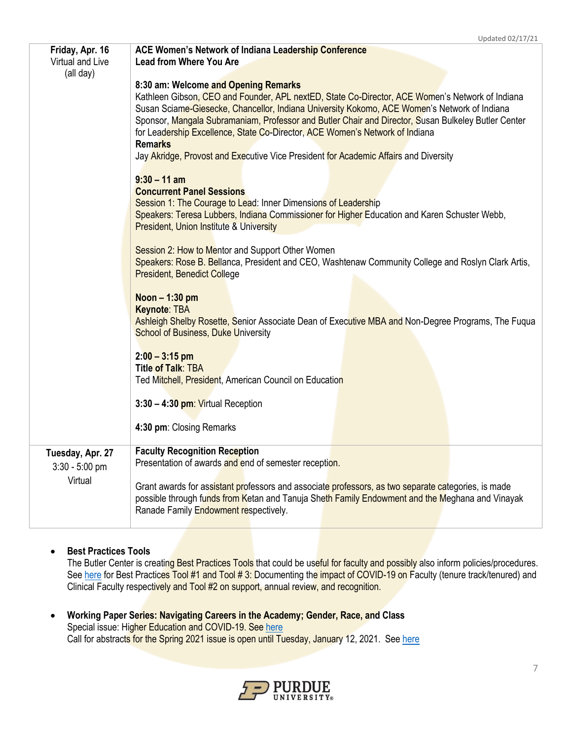| Friday, Apr. 16<br>Virtual and Live  | <b>ACE Women's Network of Indiana Leadership Conference</b><br><b>Lead from Where You Are</b>                                                                                                                                                                                                                                                                                                                                                                                                                                            |
|--------------------------------------|------------------------------------------------------------------------------------------------------------------------------------------------------------------------------------------------------------------------------------------------------------------------------------------------------------------------------------------------------------------------------------------------------------------------------------------------------------------------------------------------------------------------------------------|
| (all day)                            |                                                                                                                                                                                                                                                                                                                                                                                                                                                                                                                                          |
|                                      | 8:30 am: Welcome and Opening Remarks<br>Kathleen Gibson, CEO and Founder, APL nextED, State Co-Director, ACE Women's Network of Indiana<br>Susan Sciame-Giesecke, Chancellor, Indiana University Kokomo, ACE Women's Network of Indiana<br>Sponsor, Mangala Subramaniam, Professor and Butler Chair and Director, Susan Bulkeley Butler Center<br>for Leadership Excellence, State Co-Director, ACE Women's Network of Indiana<br><b>Remarks</b><br>Jay Akridge, Provost and Executive Vice President for Academic Affairs and Diversity |
|                                      | $9:30 - 11$ am                                                                                                                                                                                                                                                                                                                                                                                                                                                                                                                           |
|                                      | <b>Concurrent Panel Sessions</b>                                                                                                                                                                                                                                                                                                                                                                                                                                                                                                         |
|                                      | Session 1: The Courage to Lead: Inner Dimensions of Leadership<br>Speakers: Teresa Lubbers, Indiana Commissioner for Higher Education and Karen Schuster Webb,<br><b>President, Union Institute &amp; University</b>                                                                                                                                                                                                                                                                                                                     |
|                                      | Session 2: How to Mentor and Support Other Women<br>Speakers: Rose B. Bellanca, President and CEO, Washtenaw Community College and Roslyn Clark Artis,<br><b>President, Benedict College</b>                                                                                                                                                                                                                                                                                                                                             |
|                                      | Noon - 1:30 pm<br>Keynote: TBA<br>Ashleigh Shelby Rosette, Senior Associate Dean of Executive MBA and Non-Degree Programs, The Fuqua<br><b>School of Business, Duke University</b>                                                                                                                                                                                                                                                                                                                                                       |
|                                      | $2:00 - 3:15$ pm<br><b>Title of Talk: TBA</b><br>Ted Mitchell, President, American Council on Education                                                                                                                                                                                                                                                                                                                                                                                                                                  |
|                                      | $3:30 - 4:30$ pm: Virtual Reception                                                                                                                                                                                                                                                                                                                                                                                                                                                                                                      |
|                                      | 4:30 pm: Closing Remarks                                                                                                                                                                                                                                                                                                                                                                                                                                                                                                                 |
| Tuesday, Apr. 27<br>$3:30 - 5:00$ pm | <b>Faculty Recognition Reception</b><br>Presentation of awards and end of semester reception.                                                                                                                                                                                                                                                                                                                                                                                                                                            |
| Virtual                              | Grant awards for assistant professors and associate professors, as two separate categories, is made<br>possible through funds from Ketan and Tanuja Sheth Family Endowment and the Meghana and Vinayak<br>Ranade Family Endowment respectively.                                                                                                                                                                                                                                                                                          |

## **•** Best Practices Tools

The Butler Center is creating Best Practices Tools that could be useful for faculty and possibly also inform policies/procedures. Se[e here](https://www.purdue.edu/butler/research/best-practice-tools.php) for Best Practices Tool #1 and Tool # 3: Documenting the impact of COVID-19 on Faculty (tenure track/tenured) and Clinical Faculty respectively and Tool #2 on support, annual review, and recognition.

 **Working Paper Series: Navigating Careers in the Academy; Gender, Race, and Class** Special issue: Higher Education and COVID-19. Se[e here](https://www.purdue.edu/butler/working-paper-series/2020/special%20issue.html) Call for abstracts for the Spring 2021 issue is open until Tuesday, January 12, 2021. See [here](https://www.purdue.edu/butler/working-paper-series/index.php)



Updated 02/17/21